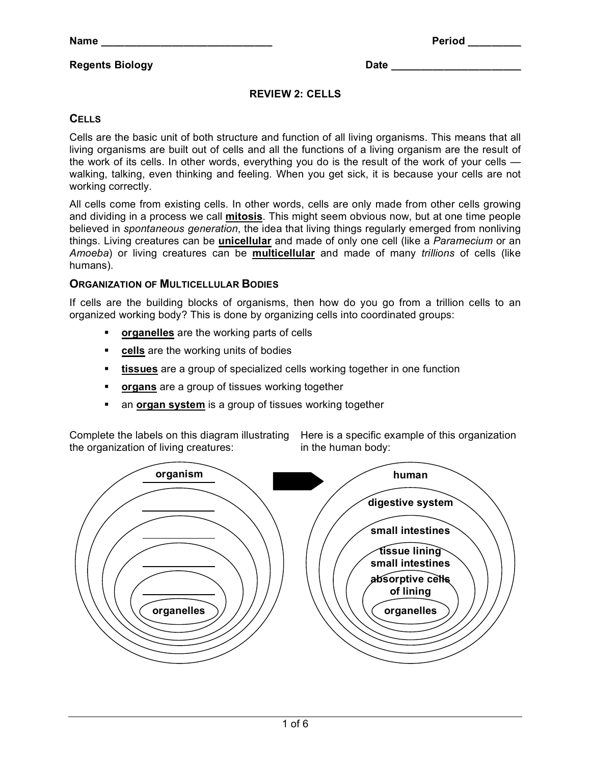# **Regents Biology Date 20 and 20 and 20 and 20 and 20 and 20 and 20 and 20 and 20 and 20 and 20 and 20 and 20 and 20 and 20 and 20 and 20 and 20 and 20 and 20 and 20 and 20 and 20 and 20 and 20 and 20 and 20 and 20 and 20**

### **REVIEW 2: CELLS**

# **CELLS**

Cells are the basic unit of both structure and function of all living organisms. This means that all living organisms are built out of cells and all the functions of a living organism are the result of the work of its cells. In other words, everything you do is the result of the work of your cells walking, talking, even thinking and feeling. When you get sick, it is because your cells are not working correctly.

All cells come from existing cells. In other words, cells are only made from other cells growing and dividing in a process we call **mitosis**. This might seem obvious now, but at one time people believed in *spontaneous generation*, the idea that living things regularly emerged from nonliving things. Living creatures can be **unicellular** and made of only one cell (like a *Paramecium* or an *Amoeba*) or living creatures can be **multicellular** and made of many *trillions* of cells (like humans).

## **ORGANIZATION OF MULTICELLULAR BODIES**

If cells are the building blocks of organisms, then how do you go from a trillion cells to an organized working body? This is done by organizing cells into coordinated groups:

- **organelles** are the working parts of cells
- **cells** are the working units of bodies
- **tissues** are a group of specialized cells working together in one function
- **organs** are a group of tissues working together
- an **organ system** is a group of tissues working together

Complete the labels on this diagram illustrating Here is a specific example of this organization the organization of living creatures:

in the human body:

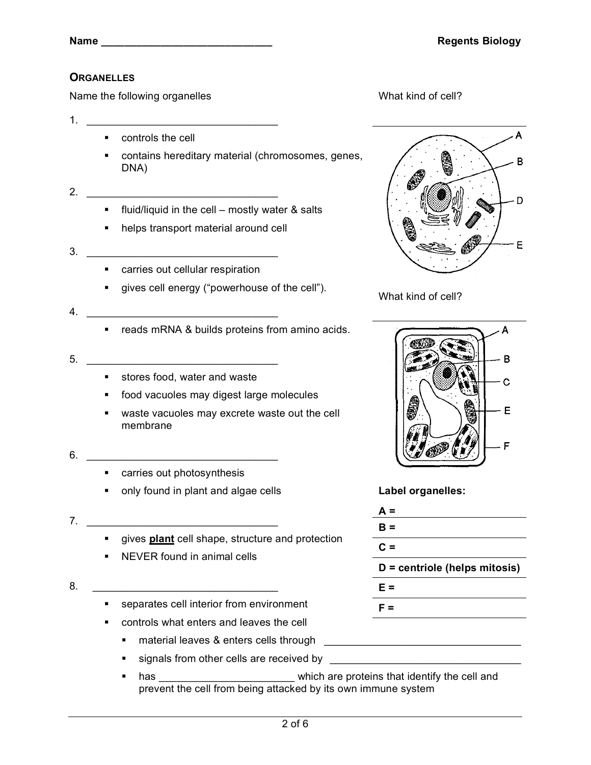# **ORGANELLES**

Name the following organelles

- 1. \_\_\_\_\_\_\_\_\_\_\_\_\_\_\_\_\_\_\_\_\_\_\_\_\_\_\_\_\_\_\_\_\_
	- controls the cell
	- contains hereditary material (chromosomes, genes, DNA)
- 2.  $\frac{2}{\sqrt{2}}$ 
	- fluid/liquid in the cell mostly water & salts
	- helps transport material around cell
- 3. \_\_\_\_\_\_\_\_\_\_\_\_\_\_\_\_\_\_\_\_\_\_\_\_\_\_\_\_\_\_\_\_\_
	- carries out cellular respiration
	- gives cell energy ("powerhouse of the cell").
- 4. \_\_\_\_\_\_\_\_\_\_\_\_\_\_\_\_\_\_\_\_\_\_\_\_\_\_\_\_\_\_\_\_\_
	- **•** reads mRNA & builds proteins from amino acids.
- 5. \_\_\_\_\_\_\_\_\_\_\_\_\_\_\_\_\_\_\_\_\_\_\_\_\_\_\_\_\_\_\_\_\_
	- **stores food, water and waste**
	- food vacuoles may digest large molecules
	- waste vacuoles may excrete waste out the cell membrane
- $6.$ 
	- carries out photosynthesis
	- only found in plant and algae cells

#### **7**.

- **qives plant** cell shape, structure and protection
- **NEVER found in animal cells**

### 8. \_\_\_\_\_\_\_\_\_\_\_\_\_\_\_\_\_\_\_\_\_\_\_\_\_\_\_\_\_\_\_\_

- separates cell interior from environment
- controls what enters and leaves the cell
	- material leaves & enters cells through \_\_\_\_\_\_\_\_\_\_\_\_\_\_\_\_\_\_\_\_\_\_\_\_\_\_\_\_\_\_\_\_\_\_
	- **signals from other cells are received by \_\_\_\_\_\_\_\_\_**
	- has \_\_\_\_\_\_\_\_\_\_\_\_\_\_\_\_\_\_\_\_\_\_\_\_which are proteins that identify the cell and prevent the cell from being attacked by its own immune system

What kind of cell?



What kind of cell?



**Label organelles:**

| $A =$                         |  |  |
|-------------------------------|--|--|
| $B =$                         |  |  |
| $C =$                         |  |  |
| D = centriole (helps mitosis) |  |  |
| E =                           |  |  |
| F =                           |  |  |
|                               |  |  |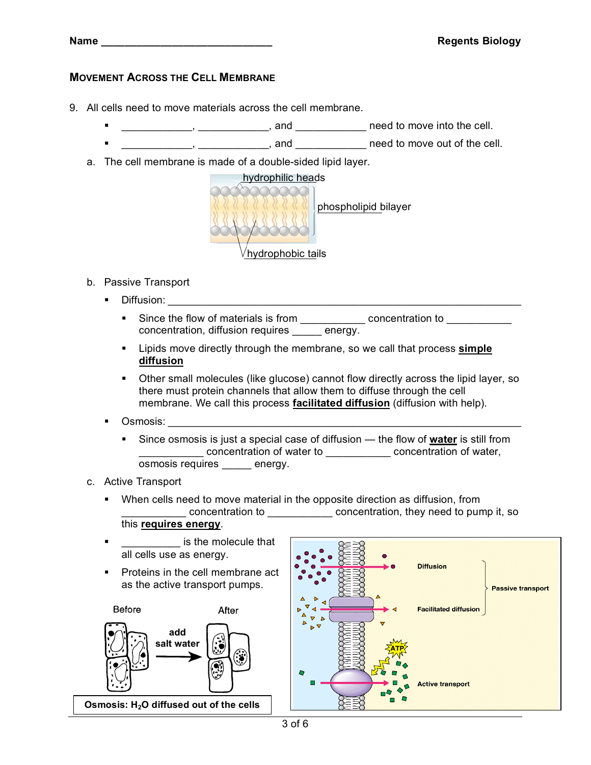# **MOVEMENT ACROSS THE CELL MEMBRANE**

- 9. All cells need to move materials across the cell membrane.
	- $\frac{1}{2}$   $\frac{1}{2}$   $\frac{1}{2}$   $\frac{1}{2}$   $\frac{1}{2}$  and  $\frac{1}{2}$  need to move into the cell.
	- **Example 2** and **LEVILLE 2** and **LEVILLE 2** and **LEVILLE 2** and **LEVILLE 2** and **LEVILLE 2** and **contrary a** need to move out of the cell.
	- a. The cell membrane is made of a double-sided lipid layer.



- b. Passive Transport
	- **Diffusion:** 
		- Since the flow of materials is from \_\_\_\_\_\_\_\_\_\_\_\_\_ concentration to \_\_\_\_\_\_\_\_\_\_\_\_ concentration, diffusion requires energy.
		- Lipids move directly through the membrane, so we call that process **simple diffusion**
		- Other small molecules (like glucose) cannot flow directly across the lipid layer, so there must protein channels that allow them to diffuse through the cell membrane. We call this process **facilitated diffusion** (diffusion with help).
	- Osmosis: \_\_\_\_\_\_\_\_\_\_\_\_\_\_\_\_\_\_\_\_\_\_\_\_\_\_\_\_\_\_\_\_\_\_\_\_\_\_\_\_\_\_\_\_\_\_\_\_\_\_\_\_\_\_\_\_\_\_\_\_\_
		- Since osmosis is just a special case of diffusion the flow of **water** is still from \_\_\_\_\_\_\_\_\_\_\_ concentration of water to \_\_\_\_\_\_\_\_\_\_\_ concentration of water, osmosis requires \_\_\_\_\_ energy.
- c. Active Transport
	- When cells need to move material in the opposite direction as diffusion, from \_\_\_\_\_\_\_\_\_\_\_ concentration to \_\_\_\_\_\_\_\_\_\_\_ concentration, they need to pump it, so this **requires energy**.
	- **Example 2** is the molecule that all cells use as energy.
	- Proteins in the cell membrane act as the active transport pumps.





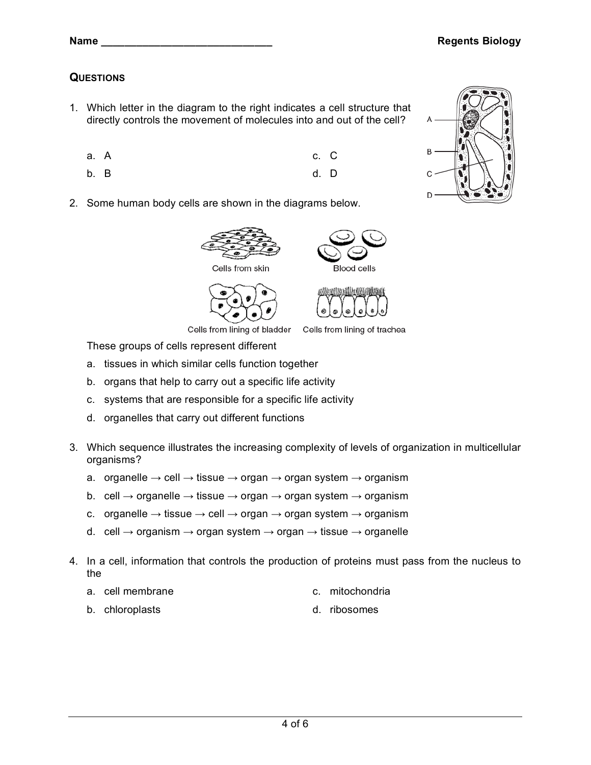# **QUESTIONS**

- 1. Which letter in the diagram to the right indicates a cell structure that directly controls the movement of molecules into and out of the cell?
	- a. A c. C
	- b. B d. D
- 2. Some human body cells are shown in the diagrams below.

- These groups of cells represent different
- a. tissues in which similar cells function together
- b. organs that help to carry out a specific life activity
- c. systems that are responsible for a specific life activity
- d. organelles that carry out different functions
- 3. Which sequence illustrates the increasing complexity of levels of organization in multicellular organisms?

Cells from lining of bladder Cells from lining of trachea

- a. organelle  $\rightarrow$  cell  $\rightarrow$  tissue  $\rightarrow$  organ  $\rightarrow$  organ system  $\rightarrow$  organism
- b. cell  $\rightarrow$  organelle  $\rightarrow$  tissue  $\rightarrow$  organ  $\rightarrow$  organ system  $\rightarrow$  organism
- c. organelle  $\rightarrow$  tissue  $\rightarrow$  cell  $\rightarrow$  organ  $\rightarrow$  organ system  $\rightarrow$  organism
- d. cell  $\rightarrow$  organism  $\rightarrow$  organ system  $\rightarrow$  organ  $\rightarrow$  tissue  $\rightarrow$  organelle
- 4. In a cell, information that controls the production of proteins must pass from the nucleus to the
	- a. cell membrane c. mitochondria
	- b. chloroplasts d. ribosomes





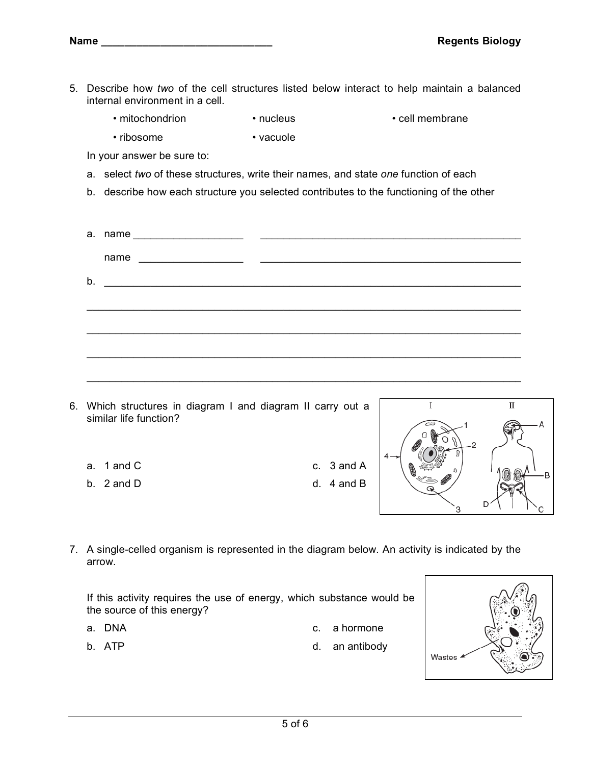- 5. Describe how *two* of the cell structures listed below interact to help maintain a balanced internal environment in a cell.
	- mitochondrion nucleus cell membrane
	- ribosome vacuole

- In your answer be sure to:
- a. select *two* of these structures, write their names, and state *one* function of each
- b. describe how each structure you selected contributes to the functioning of the other

| name |  |
|------|--|
|      |  |
|      |  |
|      |  |
|      |  |
|      |  |

\_\_\_\_\_\_\_\_\_\_\_\_\_\_\_\_\_\_\_\_\_\_\_\_\_\_\_\_\_\_\_\_\_\_\_\_\_\_\_\_\_\_\_\_\_\_\_\_\_\_\_\_\_\_\_\_\_\_\_\_\_\_\_\_\_\_\_\_\_\_\_\_\_\_\_

- 6. Which structures in diagram I and diagram II carry out a similar life function?
	- a. 1 and C c. 3 and A
	-

b. 2 and D d. 4 and B



7. A single-celled organism is represented in the diagram below. An activity is indicated by the arrow.

If this activity requires the use of energy, which substance would be the source of this energy?

- 
- a. DNA c. a hormone
	-
- b. ATP d. an antibody